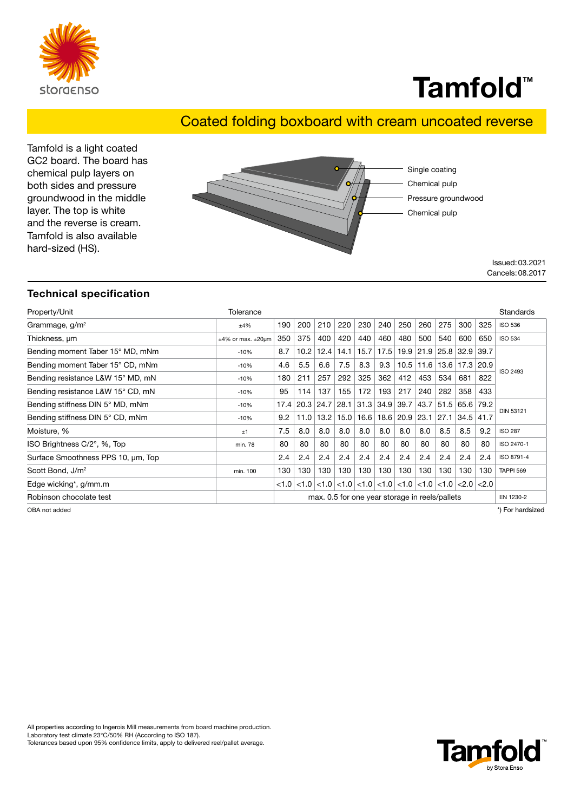

## Tamfold<sup>™</sup>

## Coated folding boxboard with cream uncoated reverse

Tamfold is a light coated GC2 board. The board has chemical pulp layers on both sides and pressure groundwood in the middle layer. The top is white and the reverse is cream. Tamfold is also available hard-sized (HS).



Issued:03.2021 Cancels:08.2017

### Technical specification

| Property/Unit                      | Tolerance                 |                                                             |      |      |      |                                                                                        |      |                      |      |      |                                    |      | Standards        |
|------------------------------------|---------------------------|-------------------------------------------------------------|------|------|------|----------------------------------------------------------------------------------------|------|----------------------|------|------|------------------------------------|------|------------------|
| Grammage, $g/m^2$                  | ±4%                       | 190                                                         | 200  | 210  | 220  | 230                                                                                    | 240  | 250                  | 260  | 275  | 300                                | 325  | <b>ISO 536</b>   |
| Thickness, um                      | $±4\%$ or max. $±20\mu m$ | 350                                                         | 375  | 400  | 420  | 440                                                                                    | 460  | 480                  | 500  | 540  | 600                                | 650  | <b>ISO 534</b>   |
| Bending moment Taber 15° MD, mNm   | $-10%$                    | 8.7                                                         | 10.2 | 12.4 | 14.1 | 15.7                                                                                   |      |                      |      |      | $17.5$   19.9   21.9   25.8   32.9 | 39.7 | <b>ISO 2493</b>  |
| Bending moment Taber 15° CD, mNm   | $-10%$                    | 4.6                                                         | 5.5  | 6.6  | 7.5  | 8.3                                                                                    | 9.3  | 10.5                 | 11.6 |      | 13.6   17.3   20.9                 |      |                  |
| Bending resistance L&W 15° MD, mN  | $-10%$                    | 180                                                         | 211  | 257  | 292  | 325                                                                                    | 362  | 412                  | 453  | 534  | 681                                | 822  |                  |
| Bending resistance L&W 15° CD, mN  | $-10%$                    | 95                                                          | 114  | 137  | 155  | 172                                                                                    | 193  | 217                  | 240  | 282  | 358                                | 433  |                  |
| Bending stiffness DIN 5° MD, mNm   | $-10%$                    | 17.4                                                        | 20.3 | 24.7 | 28.1 | 31.3                                                                                   | 34.9 | 39.7                 | 43.7 | 51.5 | 65.6                               | 79.2 |                  |
| Bending stiffness DIN 5° CD, mNm   | $-10%$                    | 9.2                                                         | 11.0 | 13.2 | 15.0 | 16.6                                                                                   |      | $18.6$   20.9   23.1 |      | 27.1 | $34.5$ 41.7                        |      | <b>DIN 53121</b> |
| Moisture, %                        | ±1                        | 7.5                                                         | 8.0  | 8.0  | 8.0  | 8.0                                                                                    | 8.0  | 8.0                  | 8.0  | 8.5  | 8.5                                | 9.2  | <b>ISO 287</b>   |
| ISO Brightness C/2°, %, Top        | min. 78                   | 80                                                          | 80   | 80   | 80   | 80                                                                                     | 80   | 80                   | 80   | 80   | 80                                 | 80   | ISO 2470-1       |
| Surface Smoothness PPS 10, um, Top |                           | 2.4                                                         | 2.4  | 2.4  | 2.4  | 2.4                                                                                    | 2.4  | 2.4                  | 2.4  | 2.4  | 2.4                                | 2.4  | ISO 8791-4       |
| Scott Bond, J/m <sup>2</sup>       | min. 100                  | 130                                                         | 130  | 130  | 130  | 130                                                                                    | 130  | 130                  | 130  | 130  | 130                                | 130  | <b>TAPPI 569</b> |
| Edge wicking*, g/mm.m              |                           | < 1.0                                                       |      |      |      | $<1.0$ $<$ 1.0 $<$ 1.0 $<$ 1.0 $<$ 1.0 $<$ 1.0 $<$ 1.0 $<$ 1.0 $<$ 1.0 $<$ 2.0 $<$ 2.0 |      |                      |      |      |                                    |      |                  |
| Robinson chocolate test            |                           | max. 0.5 for one year storage in reels/pallets<br>EN 1230-2 |      |      |      |                                                                                        |      |                      |      |      |                                    |      |                  |

OBA not added \*) For hardsized